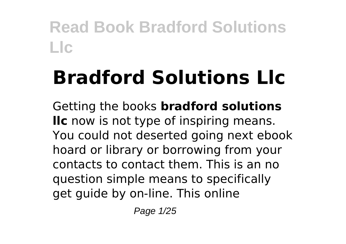# **Bradford Solutions Llc**

Getting the books **bradford solutions llc** now is not type of inspiring means. You could not deserted going next ebook hoard or library or borrowing from your contacts to contact them. This is an no question simple means to specifically get guide by on-line. This online

Page 1/25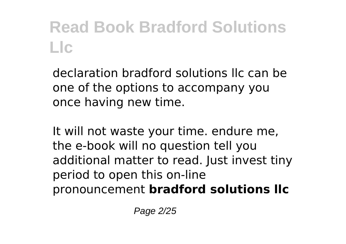declaration bradford solutions llc can be one of the options to accompany you once having new time.

It will not waste your time. endure me, the e-book will no question tell you additional matter to read. Just invest tiny period to open this on-line pronouncement **bradford solutions llc**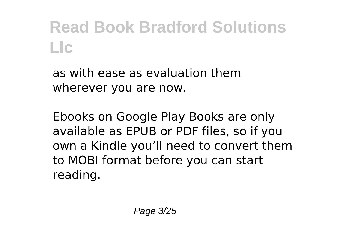as with ease as evaluation them wherever you are now.

Ebooks on Google Play Books are only available as EPUB or PDF files, so if you own a Kindle you'll need to convert them to MOBI format before you can start reading.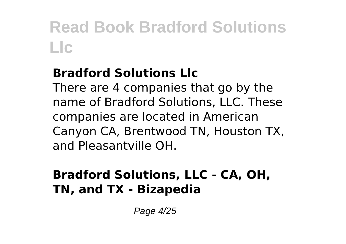#### **Bradford Solutions Llc**

There are 4 companies that go by the name of Bradford Solutions, LLC. These companies are located in American Canyon CA, Brentwood TN, Houston TX, and Pleasantville OH.

#### **Bradford Solutions, LLC - CA, OH, TN, and TX - Bizapedia**

Page 4/25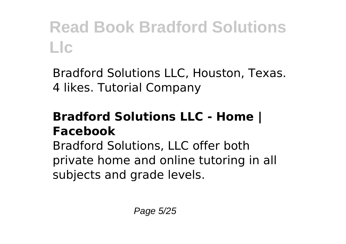Bradford Solutions LLC, Houston, Texas. 4 likes. Tutorial Company

#### **Bradford Solutions LLC - Home | Facebook**

Bradford Solutions, LLC offer both private home and online tutoring in all subjects and grade levels.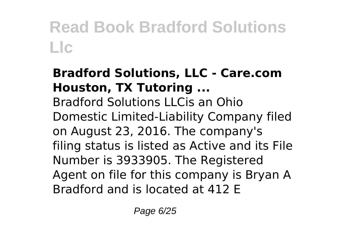### **Bradford Solutions, LLC - Care.com Houston, TX Tutoring ...**

Bradford Solutions LLCis an Ohio Domestic Limited-Liability Company filed on August 23, 2016. The company's filing status is listed as Active and its File Number is 3933905. The Registered Agent on file for this company is Bryan A Bradford and is located at 412 E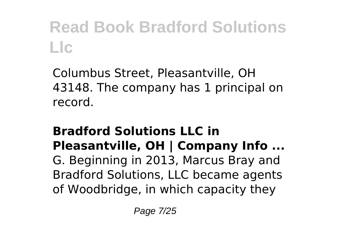Columbus Street, Pleasantville, OH 43148. The company has 1 principal on record.

#### **Bradford Solutions LLC in Pleasantville, OH | Company Info ...** G. Beginning in 2013, Marcus Bray and Bradford Solutions, LLC became agents of Woodbridge, in which capacity they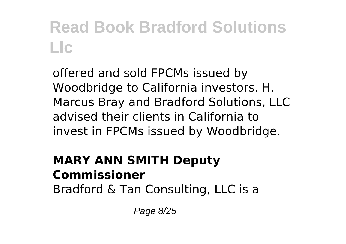offered and sold FPCMs issued by Woodbridge to California investors. H. Marcus Bray and Bradford Solutions, LLC advised their clients in California to invest in FPCMs issued by Woodbridge.

### **MARY ANN SMITH Deputy Commissioner**

Bradford & Tan Consulting, LLC is a

Page 8/25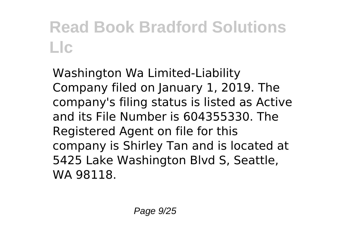Washington Wa Limited-Liability Company filed on January 1, 2019. The company's filing status is listed as Active and its File Number is 604355330. The Registered Agent on file for this company is Shirley Tan and is located at 5425 Lake Washington Blvd S, Seattle, WA 98118.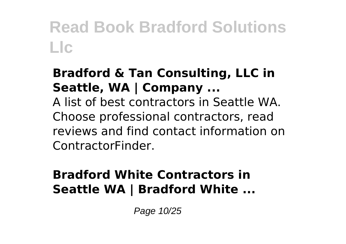#### **Bradford & Tan Consulting, LLC in Seattle, WA | Company ...**

A list of best contractors in Seattle WA. Choose professional contractors, read reviews and find contact information on ContractorFinder.

#### **Bradford White Contractors in Seattle WA | Bradford White ...**

Page 10/25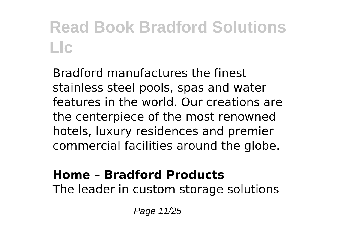Bradford manufactures the finest stainless steel pools, spas and water features in the world. Our creations are the centerpiece of the most renowned hotels, luxury residences and premier commercial facilities around the globe.

#### **Home – Bradford Products**

The leader in custom storage solutions

Page 11/25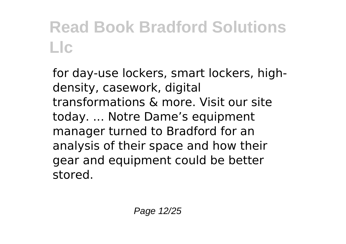for day-use lockers, smart lockers, highdensity, casework, digital transformations & more. Visit our site today. ... Notre Dame's equipment manager turned to Bradford for an analysis of their space and how their gear and equipment could be better stored.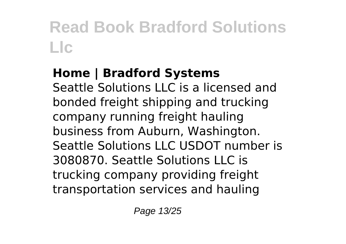#### **Home | Bradford Systems** Seattle Solutions LLC is a licensed and bonded freight shipping and trucking company running freight hauling business from Auburn, Washington. Seattle Solutions LLC USDOT number is 3080870. Seattle Solutions LLC is trucking company providing freight transportation services and hauling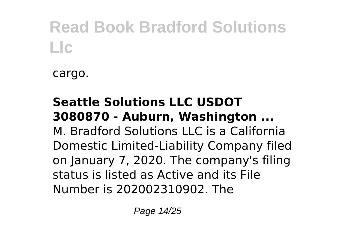cargo.

#### **Seattle Solutions LLC USDOT 3080870 - Auburn, Washington ...** M. Bradford Solutions LLC is a California Domestic Limited-Liability Company filed on January 7, 2020. The company's filing status is listed as Active and its File Number is 202002310902. The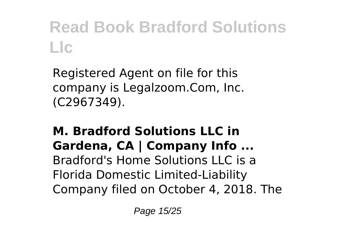Registered Agent on file for this company is Legalzoom.Com, Inc. (C2967349).

#### **M. Bradford Solutions LLC in Gardena, CA | Company Info ...** Bradford's Home Solutions LLC is a Florida Domestic Limited-Liability Company filed on October 4, 2018. The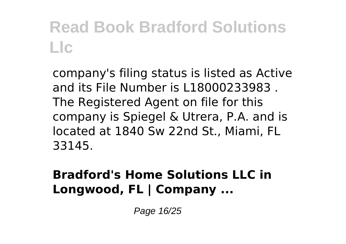company's filing status is listed as Active and its File Number is L18000233983 . The Registered Agent on file for this company is Spiegel & Utrera, P.A. and is located at 1840 Sw 22nd St., Miami, FL 33145.

#### **Bradford's Home Solutions LLC in Longwood, FL | Company ...**

Page 16/25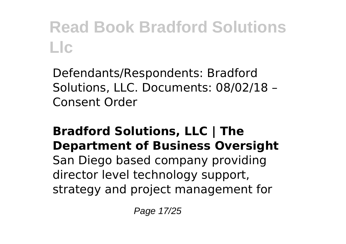Defendants/Respondents: Bradford Solutions, LLC. Documents: 08/02/18 – Consent Order

#### **Bradford Solutions, LLC | The Department of Business Oversight**

San Diego based company providing director level technology support, strategy and project management for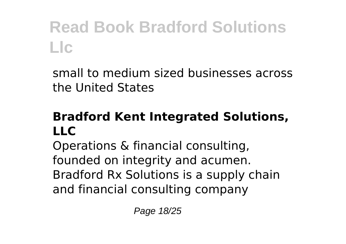small to medium sized businesses across the United States

#### **Bradford Kent Integrated Solutions,**  $\mathbf{L}$

Operations & financial consulting, founded on integrity and acumen. Bradford Rx Solutions is a supply chain and financial consulting company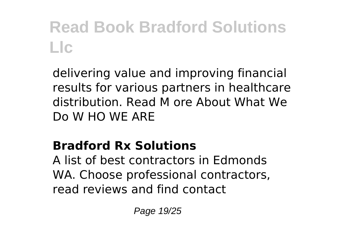delivering value and improving financial results for various partners in healthcare distribution. Read M ore About What We Do W HO WE ARE

### **Bradford Rx Solutions**

A list of best contractors in Edmonds WA. Choose professional contractors, read reviews and find contact

Page 19/25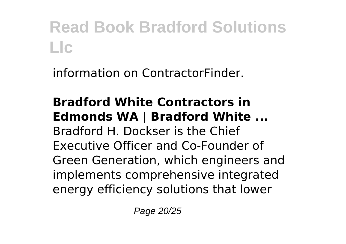information on ContractorFinder.

#### **Bradford White Contractors in Edmonds WA | Bradford White ...** Bradford H. Dockser is the Chief Executive Officer and Co-Founder of Green Generation, which engineers and implements comprehensive integrated energy efficiency solutions that lower

Page 20/25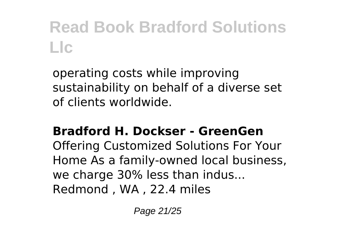operating costs while improving sustainability on behalf of a diverse set of clients worldwide.

#### **Bradford H. Dockser - GreenGen**

Offering Customized Solutions For Your Home As a family-owned local business, we charge 30% less than indus... Redmond , WA , 22.4 miles

Page 21/25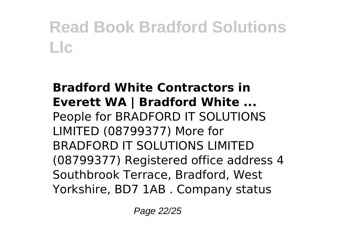#### **Bradford White Contractors in Everett WA | Bradford White ...** People for BRADFORD IT SOLUTIONS LIMITED (08799377) More for BRADFORD IT SOLUTIONS LIMITED (08799377) Registered office address 4 Southbrook Terrace, Bradford, West Yorkshire, BD7 1AB . Company status

Page 22/25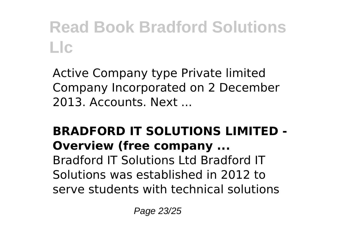Active Company type Private limited Company Incorporated on 2 December 2013. Accounts. Next ...

#### **BRADFORD IT SOLUTIONS LIMITED - Overview (free company ...**

Bradford IT Solutions Ltd Bradford IT Solutions was established in 2012 to serve students with technical solutions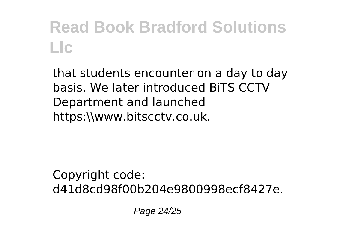that students encounter on a day to day basis. We later introduced BiTS CCTV Department and launched https:\\www.bitscctv.co.uk.

Copyright code: d41d8cd98f00b204e9800998ecf8427e.

Page 24/25